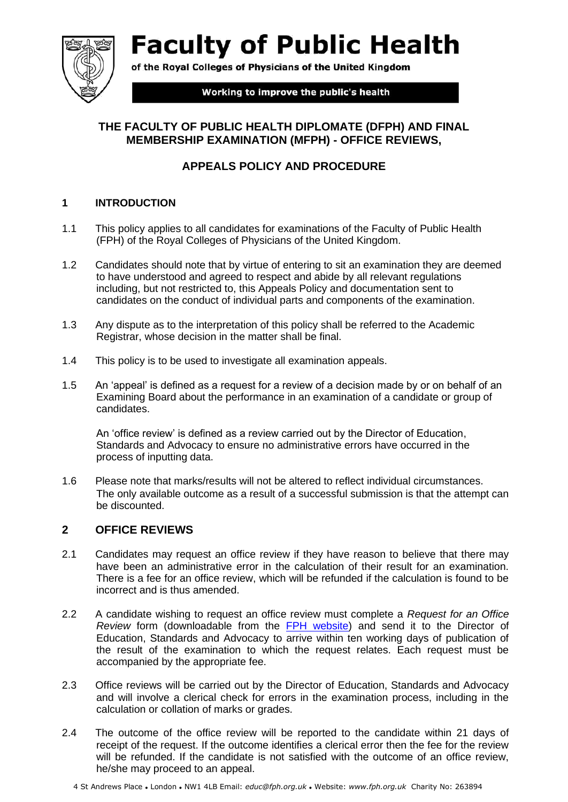**Faculty of Public Health** 



of the Royal Colleges of Physicians of the United Kingdom

Working to improve the public's health

# **THE FACULTY OF PUBLIC HEALTH DIPLOMATE (DFPH) AND FINAL MEMBERSHIP EXAMINATION (MFPH) - OFFICE REVIEWS,**

# **APPEALS POLICY AND PROCEDURE**

#### **1 INTRODUCTION**

- 1.1 This policy applies to all candidates for examinations of the Faculty of Public Health (FPH) of the Royal Colleges of Physicians of the United Kingdom.
- 1.2 Candidates should note that by virtue of entering to sit an examination they are deemed to have understood and agreed to respect and abide by all relevant regulations including, but not restricted to, this Appeals Policy and documentation sent to candidates on the conduct of individual parts and components of the examination.
- 1.3 Any dispute as to the interpretation of this policy shall be referred to the Academic Registrar, whose decision in the matter shall be final.
- 1.4 This policy is to be used to investigate all examination appeals.
- 1.5 An 'appeal' is defined as a request for a review of a decision made by or on behalf of an Examining Board about the performance in an examination of a candidate or group of candidates.

An 'office review' is defined as a review carried out by the Director of Education, Standards and Advocacy to ensure no administrative errors have occurred in the process of inputting data.

1.6 Please note that marks/results will not be altered to reflect individual circumstances. The only available outcome as a result of a successful submission is that the attempt can be discounted.

### **2 OFFICE REVIEWS**

- 2.1 Candidates may request an office review if they have reason to believe that there may have been an administrative error in the calculation of their result for an examination. There is a fee for an office review, which will be refunded if the calculation is found to be incorrect and is thus amended.
- 2.2 A candidate wishing to request an office review must complete a *Request for an Office Review* form (downloadable from the [FPH website\)](https://www.fph.org.uk/training-careers/part-a-b-exams/useful-information-relating-to-both-part-a-and-part-b-exams/appeals/) and send it to the Director of Education, Standards and Advocacy to arrive within ten working days of publication of the result of the examination to which the request relates. Each request must be accompanied by the appropriate fee.
- 2.3 Office reviews will be carried out by the Director of Education, Standards and Advocacy and will involve a clerical check for errors in the examination process, including in the calculation or collation of marks or grades.
- 2.4 The outcome of the office review will be reported to the candidate within 21 days of receipt of the request. If the outcome identifies a clerical error then the fee for the review will be refunded. If the candidate is not satisfied with the outcome of an office review, he/she may proceed to an appeal.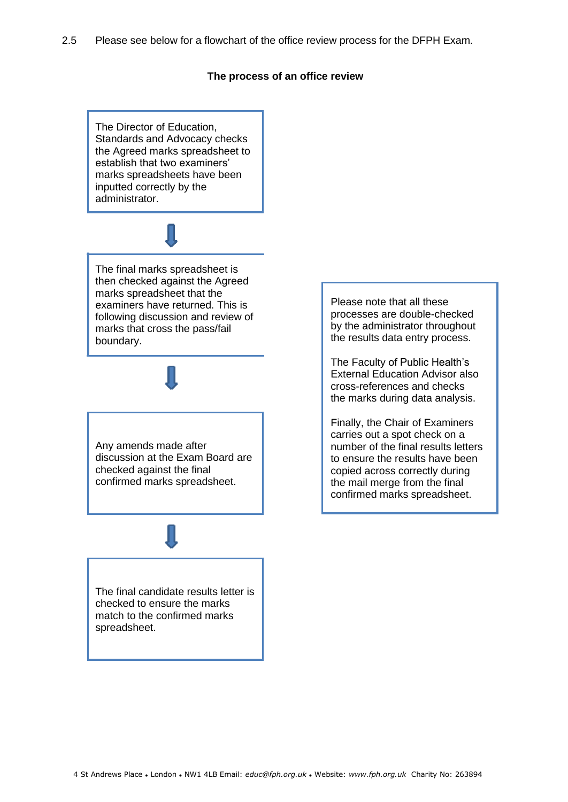#### **The process of an office review**

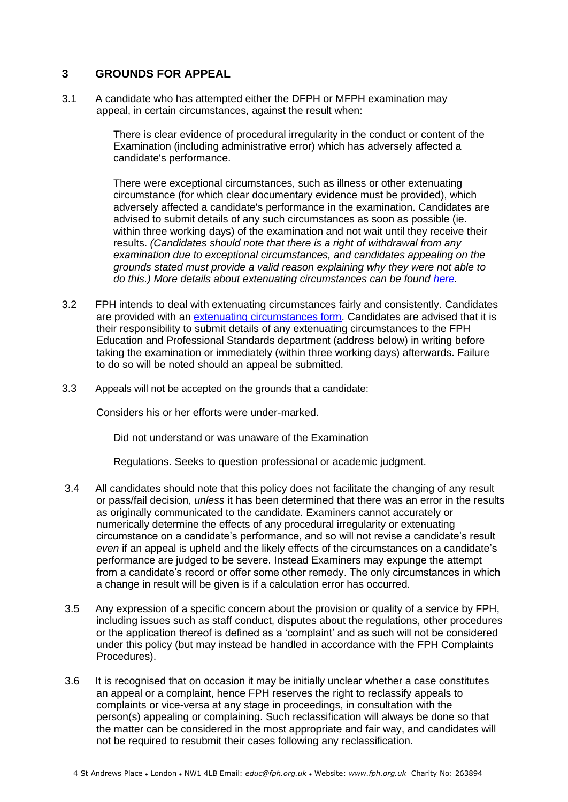#### **3 GROUNDS FOR APPEAL**

3.1 A candidate who has attempted either the DFPH or MFPH examination may appeal, in certain circumstances, against the result when:

> There is clear evidence of procedural irregularity in the conduct or content of the Examination (including administrative error) which has adversely affected a candidate's performance.

There were exceptional circumstances, such as illness or other extenuating circumstance (for which clear documentary evidence must be provided), which adversely affected a candidate's performance in the examination. Candidates are advised to submit details of any such circumstances as soon as possible (ie. within three working days) of the examination and not wait until they receive their results. *(Candidates should note that there is a right of withdrawal from any examination due to exceptional circumstances, and candidates appealing on the grounds stated must provide a valid reason explaining why they were not able to do this.) More details about extenuating circumstances can be found [here.](https://www.fph.org.uk/training-careers/part-a-b-exams/part-a-exam/apply-for-the-part-a-exam/timetable-and-fees/)*

- 3.2 FPH intends to deal with extenuating circumstances fairly and consistently. Candidates are provided with an [extenuating circumstances form](https://www.fph.org.uk/training-careers/part-a-b-exams/part-a-exam/apply-for-the-part-a-exam/timetable-and-fees/)[. C](http://www.fph.org.uk/exams/timetable_fees.asp#circumstances))andidates are advised that it is their responsibility to submit details of any extenuating circumstances to the FPH Education and Professional Standards department (address below) in writing before taking the examination or immediately (within three working days) afterwards. Failure to do so will be noted should an appeal be submitted.
- 3.3 Appeals will not be accepted on the grounds that a candidate:

Considers his or her efforts were under-marked.

Did not understand or was unaware of the Examination

Regulations. Seeks to question professional or academic judgment.

- 3.4 All candidates should note that this policy does not facilitate the changing of any result or pass/fail decision, *unless* it has been determined that there was an error in the results as originally communicated to the candidate. Examiners cannot accurately or numerically determine the effects of any procedural irregularity or extenuating circumstance on a candidate's performance, and so will not revise a candidate's result *even* if an appeal is upheld and the likely effects of the circumstances on a candidate's performance are judged to be severe. Instead Examiners may expunge the attempt from a candidate's record or offer some other remedy. The only circumstances in which a change in result will be given is if a calculation error has occurred.
- 3.5 Any expression of a specific concern about the provision or quality of a service by FPH, including issues such as staff conduct, disputes about the regulations, other procedures or the application thereof is defined as a 'complaint' and as such will not be considered under this policy (but may instead be handled in accordance with the FPH Complaints Procedures).
- 3.6 It is recognised that on occasion it may be initially unclear whether a case constitutes an appeal or a complaint, hence FPH reserves the right to reclassify appeals to complaints or vice-versa at any stage in proceedings, in consultation with the person(s) appealing or complaining. Such reclassification will always be done so that the matter can be considered in the most appropriate and fair way, and candidates will not be required to resubmit their cases following any reclassification.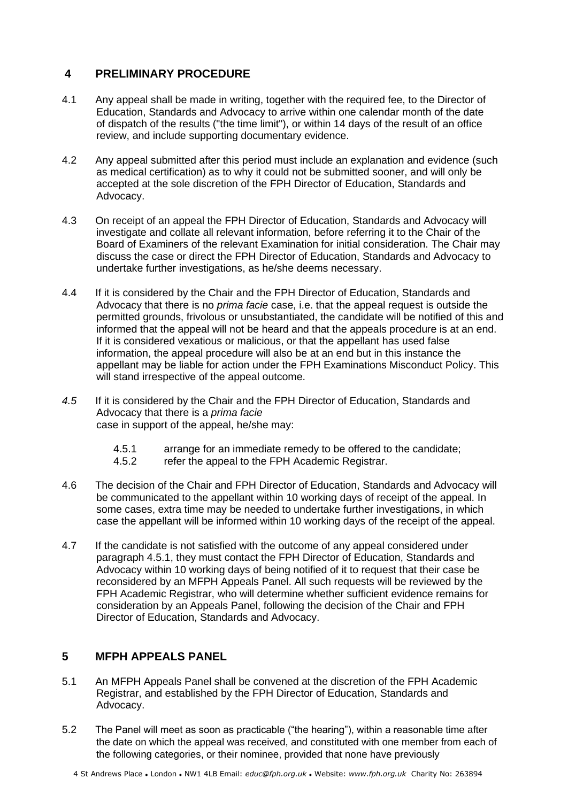## **4 PRELIMINARY PROCEDURE**

- 4.1 Any appeal shall be made in writing, together with the required fee, to the Director of Education, Standards and Advocacy to arrive within one calendar month of the date of dispatch of the results ("the time limit"), or within 14 days of the result of an office review, and include supporting documentary evidence.
- 4.2 Any appeal submitted after this period must include an explanation and evidence (such as medical certification) as to why it could not be submitted sooner, and will only be accepted at the sole discretion of the FPH Director of Education, Standards and Advocacy.
- 4.3 On receipt of an appeal the FPH Director of Education, Standards and Advocacy will investigate and collate all relevant information, before referring it to the Chair of the Board of Examiners of the relevant Examination for initial consideration. The Chair may discuss the case or direct the FPH Director of Education, Standards and Advocacy to undertake further investigations, as he/she deems necessary.
- 4.4 If it is considered by the Chair and the FPH Director of Education, Standards and Advocacy that there is no *prima facie* case, i.e. that the appeal request is outside the permitted grounds, frivolous or unsubstantiated, the candidate will be notified of this and informed that the appeal will not be heard and that the appeals procedure is at an end. If it is considered vexatious or malicious, or that the appellant has used false information, the appeal procedure will also be at an end but in this instance the appellant may be liable for action under the FPH Examinations Misconduct Policy. This will stand irrespective of the appeal outcome.
- *4.5* If it is considered by the Chair and the FPH Director of Education, Standards and Advocacy that there is a *prima facie* case in support of the appeal, he/she may:
	- 4.5.1 arrange for an immediate remedy to be offered to the candidate;
	- 4.5.2 refer the appeal to the FPH Academic Registrar.
- 4.6 The decision of the Chair and FPH Director of Education, Standards and Advocacy will be communicated to the appellant within 10 working days of receipt of the appeal. In some cases, extra time may be needed to undertake further investigations, in which case the appellant will be informed within 10 working days of the receipt of the appeal.
- 4.7 If the candidate is not satisfied with the outcome of any appeal considered under paragraph 4.5.1, they must contact the FPH Director of Education, Standards and Advocacy within 10 working days of being notified of it to request that their case be reconsidered by an MFPH Appeals Panel. All such requests will be reviewed by the FPH Academic Registrar, who will determine whether sufficient evidence remains for consideration by an Appeals Panel, following the decision of the Chair and FPH Director of Education, Standards and Advocacy.

# **5 MFPH APPEALS PANEL**

- 5.1 An MFPH Appeals Panel shall be convened at the discretion of the FPH Academic Registrar, and established by the FPH Director of Education, Standards and Advocacy.
- 5.2 The Panel will meet as soon as practicable ("the hearing"), within a reasonable time after the date on which the appeal was received, and constituted with one member from each of the following categories, or their nominee, provided that none have previously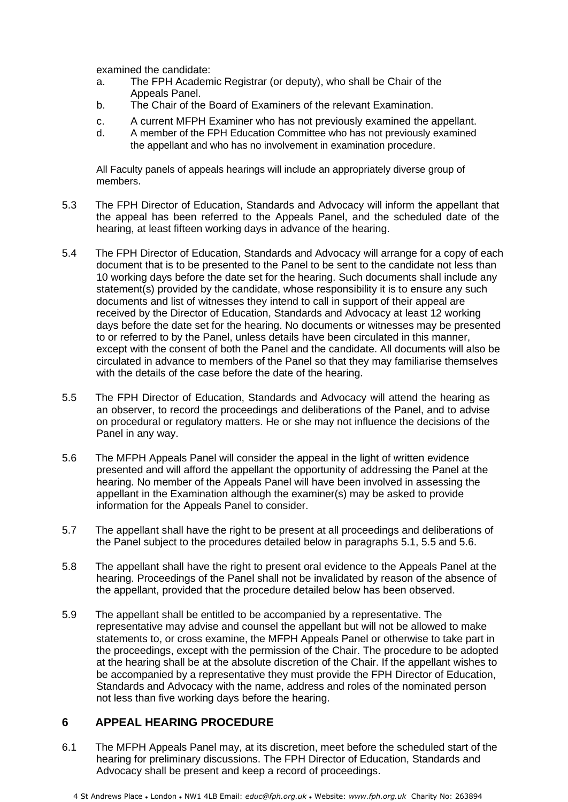examined the candidate:

- a. The FPH Academic Registrar (or deputy), who shall be Chair of the Appeals Panel.
- b. The Chair of the Board of Examiners of the relevant Examination.
- c. A current MFPH Examiner who has not previously examined the appellant.
- d. A member of the FPH Education Committee who has not previously examined the appellant and who has no involvement in examination procedure.

All Faculty panels of appeals hearings will include an appropriately diverse group of members.

- 5.3 The FPH Director of Education, Standards and Advocacy will inform the appellant that the appeal has been referred to the Appeals Panel, and the scheduled date of the hearing, at least fifteen working days in advance of the hearing.
- 5.4 The FPH Director of Education, Standards and Advocacy will arrange for a copy of each document that is to be presented to the Panel to be sent to the candidate not less than 10 working days before the date set for the hearing. Such documents shall include any statement(s) provided by the candidate, whose responsibility it is to ensure any such documents and list of witnesses they intend to call in support of their appeal are received by the Director of Education, Standards and Advocacy at least 12 working days before the date set for the hearing. No documents or witnesses may be presented to or referred to by the Panel, unless details have been circulated in this manner, except with the consent of both the Panel and the candidate. All documents will also be circulated in advance to members of the Panel so that they may familiarise themselves with the details of the case before the date of the hearing.
- 5.5 The FPH Director of Education, Standards and Advocacy will attend the hearing as an observer, to record the proceedings and deliberations of the Panel, and to advise on procedural or regulatory matters. He or she may not influence the decisions of the Panel in any way.
- 5.6 The MFPH Appeals Panel will consider the appeal in the light of written evidence presented and will afford the appellant the opportunity of addressing the Panel at the hearing. No member of the Appeals Panel will have been involved in assessing the appellant in the Examination although the examiner(s) may be asked to provide information for the Appeals Panel to consider.
- 5.7 The appellant shall have the right to be present at all proceedings and deliberations of the Panel subject to the procedures detailed below in paragraphs 5.1, 5.5 and 5.6.
- 5.8 The appellant shall have the right to present oral evidence to the Appeals Panel at the hearing. Proceedings of the Panel shall not be invalidated by reason of the absence of the appellant, provided that the procedure detailed below has been observed.
- 5.9 The appellant shall be entitled to be accompanied by a representative. The representative may advise and counsel the appellant but will not be allowed to make statements to, or cross examine, the MFPH Appeals Panel or otherwise to take part in the proceedings, except with the permission of the Chair. The procedure to be adopted at the hearing shall be at the absolute discretion of the Chair. If the appellant wishes to be accompanied by a representative they must provide the FPH Director of Education, Standards and Advocacy with the name, address and roles of the nominated person not less than five working days before the hearing.

### **6 APPEAL HEARING PROCEDURE**

6.1 The MFPH Appeals Panel may, at its discretion, meet before the scheduled start of the hearing for preliminary discussions. The FPH Director of Education, Standards and Advocacy shall be present and keep a record of proceedings.